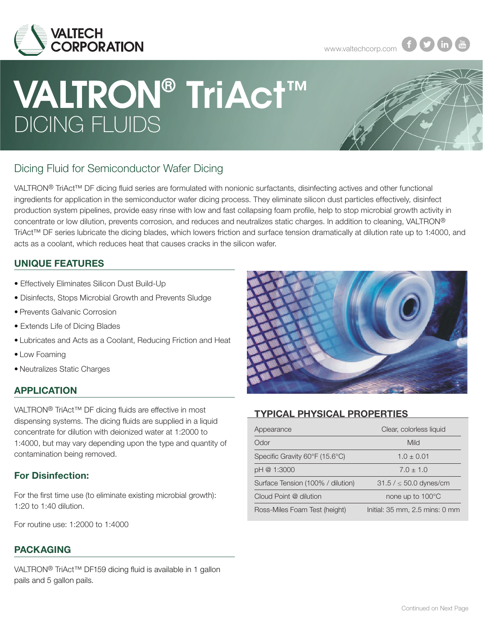

www.valtechcorp.com **f n** 

# DICING FLUIDS VALTRON® TriAct™



# Dicing Fluid for Semiconductor Wafer Dicing

VALTRON® TriAct™ DF dicing fluid series are formulated with nonionic surfactants, disinfecting actives and other functional ingredients for application in the semiconductor wafer dicing process. They eliminate silicon dust particles effectively, disinfect production system pipelines, provide easy rinse with low and fast collapsing foam profile, help to stop microbial growth activity in concentrate or low dilution, prevents corrosion, and reduces and neutralizes static charges. In addition to cleaning, VALTRON® TriAct™ DF series lubricate the dicing blades, which lowers friction and surface tension dramatically at dilution rate up to 1:4000, and acts as a coolant, which reduces heat that causes cracks in the silicon wafer.

#### UNIQUE FEATURES

- Effectively Eliminates Silicon Dust Build-Up
- Disinfects, Stops Microbial Growth and Prevents Sludge
- Prevents Galvanic Corrosion
- Extends Life of Dicing Blades
- Lubricates and Acts as a Coolant, Reducing Friction and Heat
- Low Foaming

• Neutralizes Static Charges

#### APPLICATION

VALTRON® TriAct™ DF dicing fluids are effective in most dispensing systems. The dicing fluids are supplied in a liquid concentrate for dilution with deionized water at 1:2000 to 1:4000, but may vary depending upon the type and quantity of contamination being removed.

#### For Disinfection:

For the first time use (to eliminate existing microbial growth): 1:20 to 1:40 dilution.

For routine use: 1:2000 to 1:4000

#### PACKAGING

VALTRON<sup>®</sup> TriAct<sup>™</sup> DF159 dicing fluid is available in 1 gallon pails and 5 gallon pails.



### TYPICAL PHYSICAL PROPERTIES

| Appearance                        | Clear, colorless liquid        |  |  |  |
|-----------------------------------|--------------------------------|--|--|--|
| Odor                              | Mild                           |  |  |  |
| Specific Gravity 60°F (15.6°C)    | $1.0 \pm 0.01$                 |  |  |  |
| pH @ 1:3000                       | $7.0 \pm 1.0$                  |  |  |  |
| Surface Tension (100% / dilution) | $31.5 / \le 50.0$ dynes/cm     |  |  |  |
| Cloud Point @ dilution            | none up to 100°C               |  |  |  |
| Ross-Miles Foam Test (height)     | Initial: 35 mm, 2.5 mins: 0 mm |  |  |  |